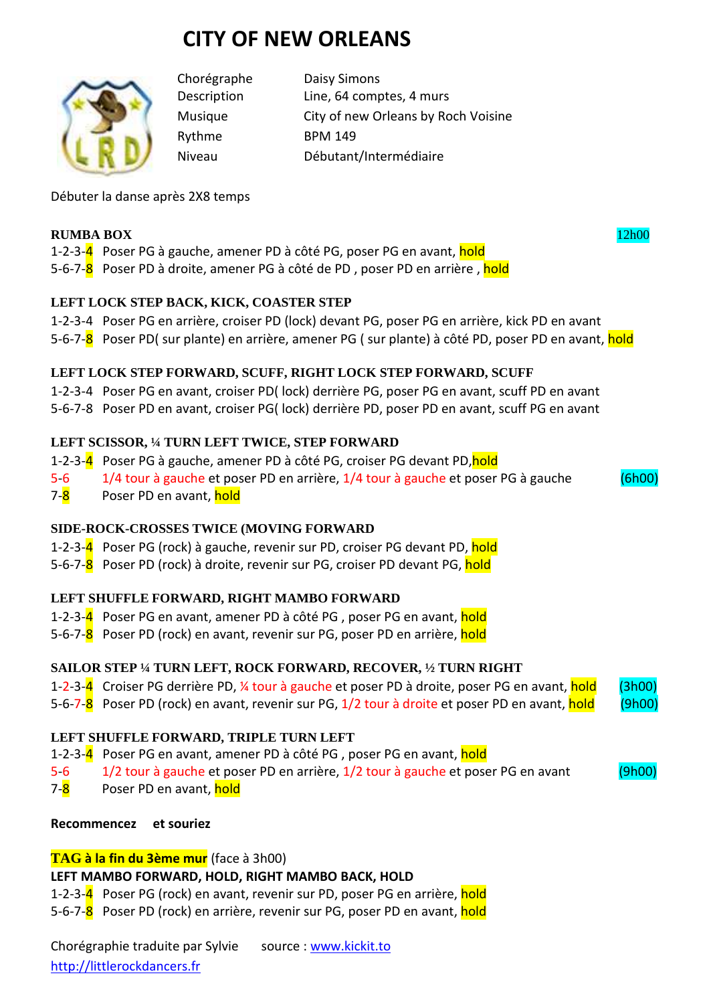# **CITY OF NEW ORLEANS**



Rythme BPM 149

Chorégraphe Daisy Simons Description Line, 64 comptes, 4 murs Musique City of new Orleans by Roch Voisine Niveau Débutant/Intermédiaire

Débuter la danse après 2X8 temps

#### **RUMBA BOX** 12h00

1-2-3-4 Poser PG à gauche, amener PD à côté PG, poser PG en avant, hold

5-6-7-8 Poser PD à droite, amener PG à côté de PD, poser PD en arrière, hold

## **LEFT LOCK STEP BACK, KICK, COASTER STEP**

1-2-3-4 Poser PG en arrière, croiser PD (lock) devant PG, poser PG en arrière, kick PD en avant

5-6-7-8 Poser PD( sur plante) en arrière, amener PG ( sur plante) à côté PD, poser PD en avant, hold

## **LEFT LOCK STEP FORWARD, SCUFF, RIGHT LOCK STEP FORWARD, SCUFF**

1-2-3-4 Poser PG en avant, croiser PD( lock) derrière PG, poser PG en avant, scuff PD en avant 5-6-7-8 Poser PD en avant, croiser PG( lock) derrière PD, poser PD en avant, scuff PG en avant

## **LEFT SCISSOR, ¼ TURN LEFT TWICE, STEP FORWARD**

- 1-2-3-4 Poser PG à gauche, amener PD à côté PG, croiser PG devant PD, hold
- 5-6 1/4 tour à gauche et poser PD en arrière, 1/4 tour à gauche et poser PG à gauche (6h00)
- 7-8 Poser PD en avant, hold

#### **SIDE-ROCK-CROSSES TWICE (MOVING FORWARD**

- 1-2-3-4 Poser PG (rock) à gauche, revenir sur PD, croiser PG devant PD, hold
- 5-6-7-8 Poser PD (rock) à droite, revenir sur PG, croiser PD devant PG, hold

# **LEFT SHUFFLE FORWARD, RIGHT MAMBO FORWARD**

- 1-2-3-4 Poser PG en avant, amener PD à côté PG, poser PG en avant, hold
- 5-6-7-8 Poser PD (rock) en avant, revenir sur PG, poser PD en arrière, hold

# **SAILOR STEP ¼ TURN LEFT, ROCK FORWARD, RECOVER, ½ TURN RIGHT**

- 1-2-3-4 Croiser PG derrière PD, 1/4 tour à gauche et poser PD à droite, poser PG en avant, hold (3h00)
- 5-6-7-8 Poser PD (rock) en avant, revenir sur PG, 1/2 tour à droite et poser PD en avant, hold (9h00)

#### **LEFT SHUFFLE FORWARD, TRIPLE TURN LEFT**

1-2-3-4 Poser PG en avant, amener PD à côté PG, poser PG en avant, hold

5-6 1/2 tour à gauche et poser PD en arrière, 1/2 tour à gauche et poser PG en avant (9h00)

7-8 Poser PD en avant, hold

#### **Recommencez et souriez**

# **TAG à la fin du 3ème mur** (face à 3h00)

# **LEFT MAMBO FORWARD, HOLD, RIGHT MAMBO BACK, HOLD**

1-2-3-4 Poser PG (rock) en avant, revenir sur PD, poser PG en arrière, hold

5-6-7-8 Poser PD (rock) en arrière, revenir sur PG, poser PD en avant, hold